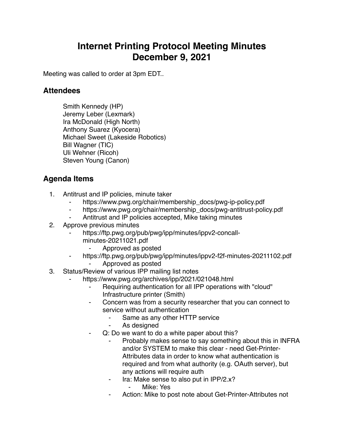## **Internet Printing Protocol Meeting Minutes December 9, 2021**

Meeting was called to order at 3pm EDT..

## **Attendees**

Smith Kennedy (HP) Jeremy Leber (Lexmark) Ira McDonald (High North) Anthony Suarez (Kyocera) Michael Sweet (Lakeside Robotics) Bill Wagner (TIC) Uli Wehner (Ricoh) Steven Young (Canon)

## **Agenda Items**

- 1. Antitrust and IP policies, minute taker
	- https://www.pwg.org/chair/membership\_docs/pwg-ip-policy.pdf
	- ⁃ https://www.pwg.org/chair/membership\_docs/pwg-antitrust-policy.pdf
	- Antitrust and IP policies accepted, Mike taking minutes
- 2. Approve previous minutes
	- https://ftp.pwg.org/pub/pwg/ipp/minutes/ippv2-concall
		- minutes-20211021.pdf
			- ⁃ Approved as posted
	- ⁃ https://ftp.pwg.org/pub/pwg/ipp/minutes/ippv2-f2f-minutes-20211102.pdf
		- ⁃ Approved as posted
- 3. Status/Review of various IPP mailing list notes
	- https://www.pwg.org/archives/ipp/2021/021048.html
		- Requiring authentication for all IPP operations with "cloud" Infrastructure printer (Smith)
		- Concern was from a security researcher that you can connect to service without authentication
			- Same as any other HTTP service
			- As designed
			- Q: Do we want to do a white paper about this?
				- Probably makes sense to say something about this in INFRA and/or SYSTEM to make this clear - need Get-Printer-Attributes data in order to know what authentication is required and from what authority (e.g. OAuth server), but any actions will require auth
					- Ira: Make sense to also put in IPP/2.x?
						- ⁃ Mike: Yes
				- Action: Mike to post note about Get-Printer-Attributes not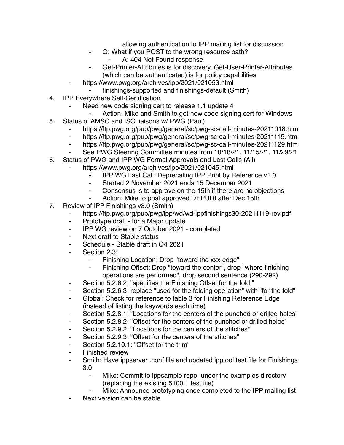allowing authentication to IPP mailing list for discussion

- ⁃ Q: What if you POST to the wrong resource path?
	- A: 404 Not Found response
- ⁃ Get-Printer-Attributes is for discovery, Get-User-Printer-Attributes (which can be authenticated) is for policy capabilities
- https://www.pwg.org/archives/ipp/2021/021053.html
- ⁃ finishings-supported and finishings-default (Smith)
- 4. IPP Everywhere Self-Certification
	- Need new code signing cert to release 1.1 update 4
		- Action: Mike and Smith to get new code signing cert for Windows
- 5. Status of AMSC and ISO liaisons w/ PWG (Paul)
	- ⁃ https://ftp.pwg.org/pub/pwg/general/sc/pwg-sc-call-minutes-20211018.htm
	- ⁃ https://ftp.pwg.org/pub/pwg/general/sc/pwg-sc-call-minutes-20211115.htm
	- https://ftp.pwg.org/pub/pwg/general/sc/pwg-sc-call-minutes-20211129.htm
	- See PWG Steering Committee minutes from 10/18/21, 11/15/21, 11/29/21
- 6. Status of PWG and IPP WG Formal Approvals and Last Calls (All)
	- https://www.pwg.org/archives/ipp/2021/021045.html
		- IPP WG Last Call: Deprecating IPP Print by Reference v1.0
		- ⁃ Started 2 November 2021 ends 15 December 2021
		- ⁃ Consensus is to approve on the 15th if there are no objections
		- Action: Mike to post approved DEPURI after Dec 15th
- 7. Review of IPP Finishings v3.0 (Smith)
	- https://ftp.pwg.org/pub/pwg/ipp/wd/wd-ippfinishings30-20211119-rev.pdf
	- ⁃ Prototype draft for a Major update
	- ⁃ IPP WG review on 7 October 2021 completed
	- ⁃ Next draft to Stable status
	- ⁃ Schedule Stable draft in Q4 2021
	- Section 2.3:
		- Finishing Location: Drop "toward the xxx edge"
		- Finishing Offset: Drop "toward the center", drop "where finishing operations are performed", drop second sentence (290-292)
	- ⁃ Section 5.2.6.2: "specifies the Finishing Offset for the fold."
	- Section 5.2.6.3: replace "used for the folding operation" with "for the fold"
	- ⁃ Global: Check for reference to table 3 for Finishing Reference Edge (instead of listing the keywords each time)
	- ⁃ Section 5.2.8.1: "Locations for the centers of the punched or drilled holes"
	- ⁃ Section 5.2.8.2: "Offset for the centers of the punched or drilled holes"
	- Section 5.2.9.2: "Locations for the centers of the stitches"
	- Section 5.2.9.3: "Offset for the centers of the stitches"
	- Section 5.2.10.1: "Offset for the trim"
	- ⁃ Finished review
	- ⁃ Smith: Have ippserver .conf file and updated ipptool test file for Finishings 3.0
		- ⁃ Mike: Commit to ippsample repo, under the examples directory (replacing the existing 5100.1 test file)
		- Mike: Announce prototyping once completed to the IPP mailing list
	- Next version can be stable